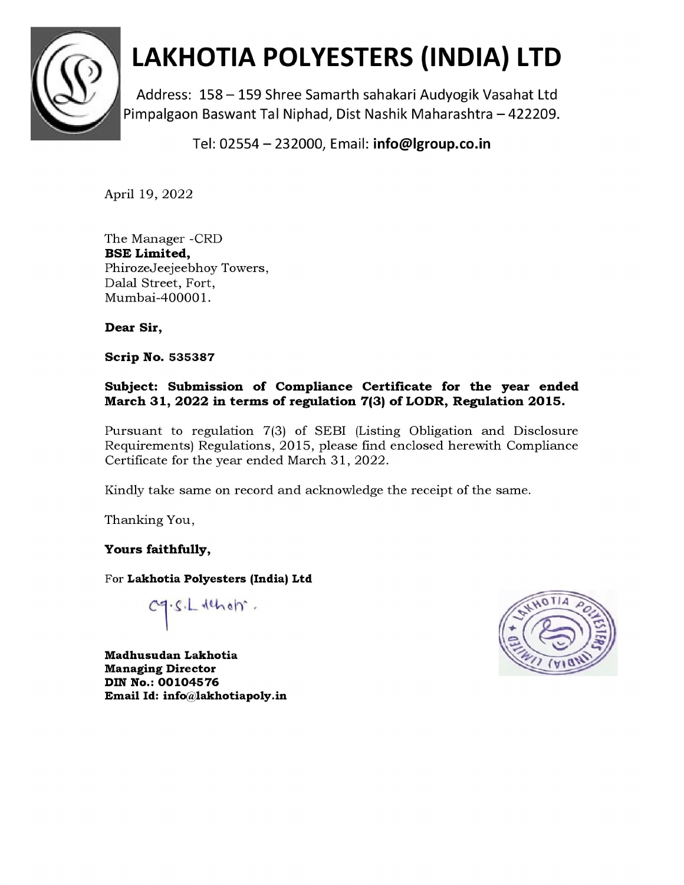

# LAKHOTIA POLYESTERS (INDIA) LTD

Address: 158 — 159 Shree Samarth sahakari Audyogik Vasahat Ltd Pimpalgaon Baswant Tal Niphad, Dist Nashik Maharashtra — 422209.

Tel: 02554 — 232000, Email: info@lgroup.co.in

April 19, 2022

The Manager -CRD BSE Limited, PhirozeJeejeebhoy Towers, Dalal Street, Fort, Mumbai-400001.

Dear Sir,

Scrip No. 535387

#### Subject: Submission of Compliance Certificate for the year ended March 31, 2022 in terms of regulation 7(3) of LODR, Regulation 2015.

Pursuant to regulation 7(3) of SEBI (Listing Obligation and Disclosure Requirements) Regulations, 2015, please find enclosed herewith Compliance Certificate for the year ended March 31, 2022.

Kindly take same on record and acknowledge the receipt of the same.

Thanking You,

#### Yours faithfully,

For Lakhotia Polyesters (India) Ltd

 $1.5.$ L deholm.

Madhusudan Lakhotia Managing Director DIN No.: 00104576 Email Id: info@lakhotiapoly.in